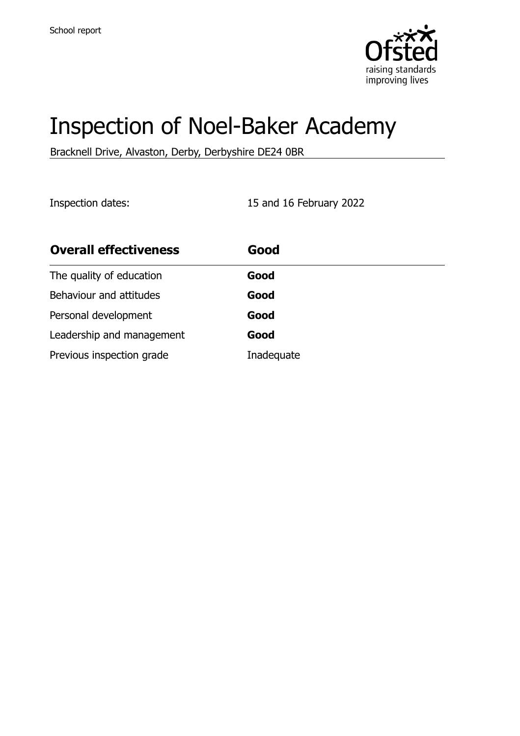

# Inspection of Noel-Baker Academy

Bracknell Drive, Alvaston, Derby, Derbyshire DE24 0BR

Inspection dates: 15 and 16 February 2022

| <b>Overall effectiveness</b> | Good       |
|------------------------------|------------|
| The quality of education     | Good       |
| Behaviour and attitudes      | Good       |
| Personal development         | Good       |
| Leadership and management    | Good       |
| Previous inspection grade    | Inadequate |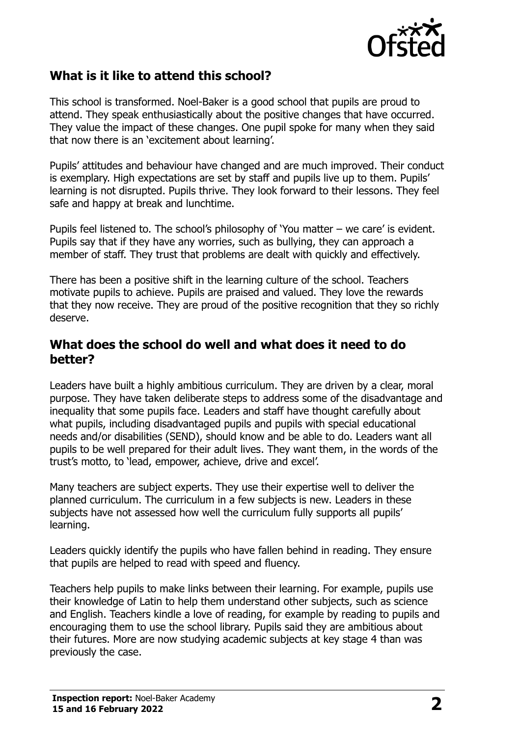

# **What is it like to attend this school?**

This school is transformed. Noel-Baker is a good school that pupils are proud to attend. They speak enthusiastically about the positive changes that have occurred. They value the impact of these changes. One pupil spoke for many when they said that now there is an 'excitement about learning'.

Pupils' attitudes and behaviour have changed and are much improved. Their conduct is exemplary. High expectations are set by staff and pupils live up to them. Pupils' learning is not disrupted. Pupils thrive. They look forward to their lessons. They feel safe and happy at break and lunchtime.

Pupils feel listened to. The school's philosophy of 'You matter – we care' is evident. Pupils say that if they have any worries, such as bullying, they can approach a member of staff. They trust that problems are dealt with quickly and effectively.

There has been a positive shift in the learning culture of the school. Teachers motivate pupils to achieve. Pupils are praised and valued. They love the rewards that they now receive. They are proud of the positive recognition that they so richly deserve.

#### **What does the school do well and what does it need to do better?**

Leaders have built a highly ambitious curriculum. They are driven by a clear, moral purpose. They have taken deliberate steps to address some of the disadvantage and inequality that some pupils face. Leaders and staff have thought carefully about what pupils, including disadvantaged pupils and pupils with special educational needs and/or disabilities (SEND), should know and be able to do. Leaders want all pupils to be well prepared for their adult lives. They want them, in the words of the trust's motto, to 'lead, empower, achieve, drive and excel'.

Many teachers are subject experts. They use their expertise well to deliver the planned curriculum. The curriculum in a few subjects is new. Leaders in these subjects have not assessed how well the curriculum fully supports all pupils' learning.

Leaders quickly identify the pupils who have fallen behind in reading. They ensure that pupils are helped to read with speed and fluency.

Teachers help pupils to make links between their learning. For example, pupils use their knowledge of Latin to help them understand other subjects, such as science and English. Teachers kindle a love of reading, for example by reading to pupils and encouraging them to use the school library. Pupils said they are ambitious about their futures. More are now studying academic subjects at key stage 4 than was previously the case.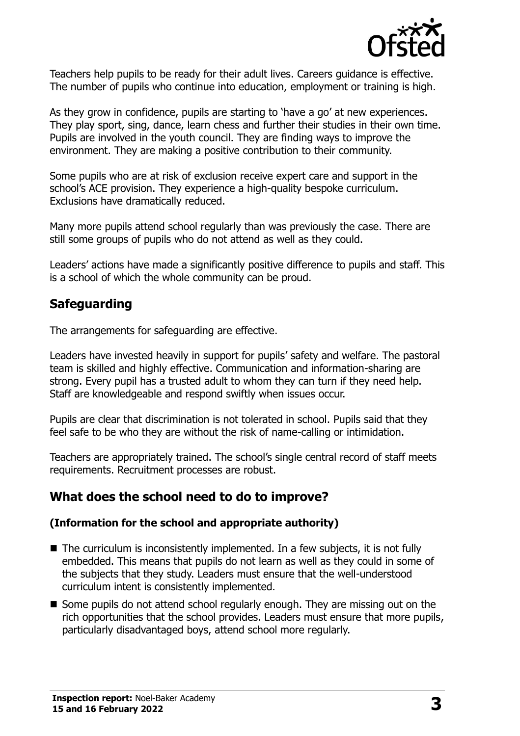

Teachers help pupils to be ready for their adult lives. Careers guidance is effective. The number of pupils who continue into education, employment or training is high.

As they grow in confidence, pupils are starting to 'have a go' at new experiences. They play sport, sing, dance, learn chess and further their studies in their own time. Pupils are involved in the youth council. They are finding ways to improve the environment. They are making a positive contribution to their community.

Some pupils who are at risk of exclusion receive expert care and support in the school's ACE provision. They experience a high-quality bespoke curriculum. Exclusions have dramatically reduced.

Many more pupils attend school regularly than was previously the case. There are still some groups of pupils who do not attend as well as they could.

Leaders' actions have made a significantly positive difference to pupils and staff. This is a school of which the whole community can be proud.

## **Safeguarding**

The arrangements for safeguarding are effective.

Leaders have invested heavily in support for pupils' safety and welfare. The pastoral team is skilled and highly effective. Communication and information-sharing are strong. Every pupil has a trusted adult to whom they can turn if they need help. Staff are knowledgeable and respond swiftly when issues occur.

Pupils are clear that discrimination is not tolerated in school. Pupils said that they feel safe to be who they are without the risk of name-calling or intimidation.

Teachers are appropriately trained. The school's single central record of staff meets requirements. Recruitment processes are robust.

## **What does the school need to do to improve?**

#### **(Information for the school and appropriate authority)**

- $\blacksquare$  The curriculum is inconsistently implemented. In a few subjects, it is not fully embedded. This means that pupils do not learn as well as they could in some of the subjects that they study. Leaders must ensure that the well-understood curriculum intent is consistently implemented.
- Some pupils do not attend school regularly enough. They are missing out on the rich opportunities that the school provides. Leaders must ensure that more pupils, particularly disadvantaged boys, attend school more regularly.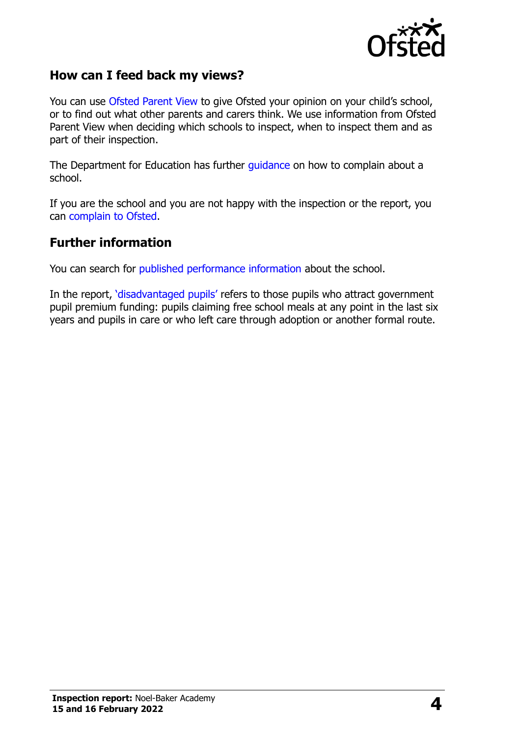

## **How can I feed back my views?**

You can use [Ofsted Parent View](http://parentview.ofsted.gov.uk/) to give Ofsted your opinion on your child's school, or to find out what other parents and carers think. We use information from Ofsted Parent View when deciding which schools to inspect, when to inspect them and as part of their inspection.

The Department for Education has further [guidance](http://www.gov.uk/complain-about-school) on how to complain about a school.

If you are the school and you are not happy with the inspection or the report, you can [complain to Ofsted.](http://www.gov.uk/complain-ofsted-report)

#### **Further information**

You can search for [published performance information](http://www.compare-school-performance.service.gov.uk/) about the school.

In the report, '[disadvantaged pupils](http://www.gov.uk/guidance/pupil-premium-information-for-schools-and-alternative-provision-settings)' refers to those pupils who attract government pupil premium funding: pupils claiming free school meals at any point in the last six years and pupils in care or who left care through adoption or another formal route.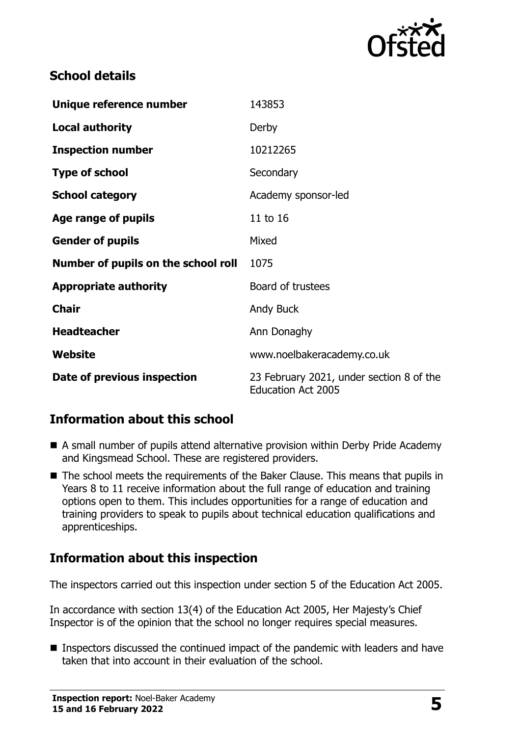

# **School details**

| Unique reference number             | 143853                                                                |  |
|-------------------------------------|-----------------------------------------------------------------------|--|
| <b>Local authority</b>              | Derby                                                                 |  |
| <b>Inspection number</b>            | 10212265                                                              |  |
| <b>Type of school</b>               | Secondary                                                             |  |
| <b>School category</b>              | Academy sponsor-led                                                   |  |
| Age range of pupils                 | 11 to 16                                                              |  |
| <b>Gender of pupils</b>             | Mixed                                                                 |  |
| Number of pupils on the school roll | 1075                                                                  |  |
| <b>Appropriate authority</b>        | Board of trustees                                                     |  |
| <b>Chair</b>                        | Andy Buck                                                             |  |
| <b>Headteacher</b>                  | Ann Donaghy                                                           |  |
| Website                             | www.noelbakeracademy.co.uk                                            |  |
| Date of previous inspection         | 23 February 2021, under section 8 of the<br><b>Education Act 2005</b> |  |

# **Information about this school**

- A small number of pupils attend alternative provision within Derby Pride Academy and Kingsmead School. These are registered providers.
- The school meets the requirements of the Baker Clause. This means that pupils in Years 8 to 11 receive information about the full range of education and training options open to them. This includes opportunities for a range of education and training providers to speak to pupils about technical education qualifications and apprenticeships.

# **Information about this inspection**

The inspectors carried out this inspection under section 5 of the Education Act 2005.

In accordance with section 13(4) of the Education Act 2005, Her Majesty's Chief Inspector is of the opinion that the school no longer requires special measures.

■ Inspectors discussed the continued impact of the pandemic with leaders and have taken that into account in their evaluation of the school.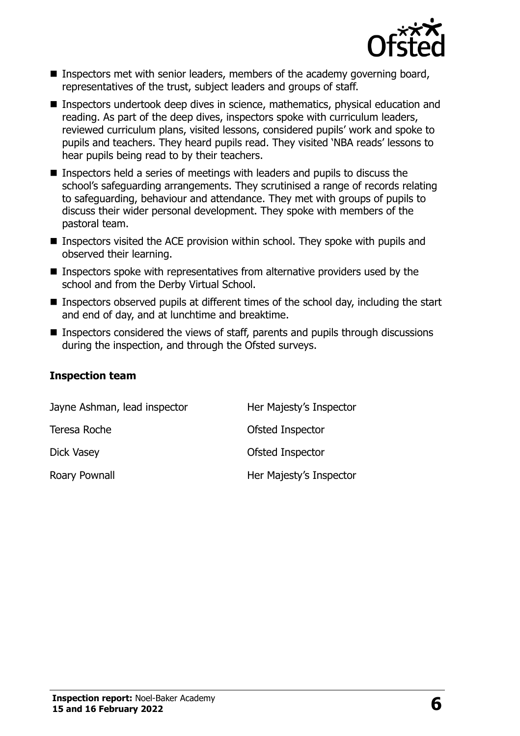

- Inspectors met with senior leaders, members of the academy governing board, representatives of the trust, subject leaders and groups of staff.
- Inspectors undertook deep dives in science, mathematics, physical education and reading. As part of the deep dives, inspectors spoke with curriculum leaders, reviewed curriculum plans, visited lessons, considered pupils' work and spoke to pupils and teachers. They heard pupils read. They visited 'NBA reads' lessons to hear pupils being read to by their teachers.
- Inspectors held a series of meetings with leaders and pupils to discuss the school's safeguarding arrangements. They scrutinised a range of records relating to safeguarding, behaviour and attendance. They met with groups of pupils to discuss their wider personal development. They spoke with members of the pastoral team.
- **Inspectors visited the ACE provision within school. They spoke with pupils and** observed their learning.
- **Inspectors spoke with representatives from alternative providers used by the** school and from the Derby Virtual School.
- **Inspectors observed pupils at different times of the school day, including the start** and end of day, and at lunchtime and breaktime.
- **Inspectors considered the views of staff, parents and pupils through discussions** during the inspection, and through the Ofsted surveys.

#### **Inspection team**

| Jayne Ashman, lead inspector | Her Majesty's Inspector |
|------------------------------|-------------------------|
| Teresa Roche                 | Ofsted Inspector        |
| Dick Vasey                   | Ofsted Inspector        |
| Roary Pownall                | Her Majesty's Inspector |